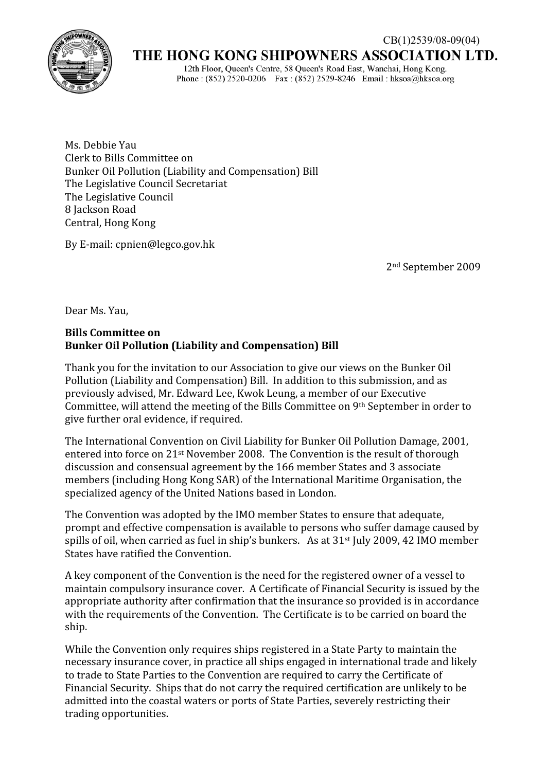

## THE HONG KONG SHIPOWNERS ASSOCIATION LTD.

12th Floor, Queen's Centre, 58 Queen's Road East, Wanchai, Hong Kong. Phone: (852) 2520-0206 Fax: (852) 2529-8246 Email: hksoa@hksoa.org

Ms. Debbie Yau Clerk to Bills Committee on Bunker Oil Pollution (Liability and Compensation) Bill The Legislative Council Secretariat The Legislative Council 8 Jackson Road Central, Hong Kong

By E‐mail: cpnien@legco.gov.hk

2nd September 2009

Dear Ms. Yau,

## **Bills Committee on Bunker Oil Pollution (Liability and Compensation) Bill**

Thank you for the invitation to our Association to give our views on the Bunker Oil Pollution (Liability and Compensation) Bill. In addition to this submission, and as previously advised, Mr. Edward Lee, Kwok Leung, a member of our Executive Committee, will attend the meeting of the Bills Committee on 9th September in order to give further oral evidence, if required.

The International Convention on Civil Liability for Bunker Oil Pollution Damage, 2001, entered into force on 21st November 2008. The Convention is the result of thorough discussion and consensual agreement by the 166 member States and 3 associate members (including Hong Kong SAR) of the International Maritime Organisation, the specialized agency of the United Nations based in London.

The Convention was adopted by the IMO member States to ensure that adequate, prompt and effective compensation is available to persons who suffer damage caused by spills of oil, when carried as fuel in ship's bunkers. As at  $31<sup>st</sup>$  July 2009, 42 IMO member States have ratified the Convention.

A key component of the Convention is the need for the registered owner of a vessel to maintain compulsory insurance cover. A Certificate of Financial Security is issued by the appropriate authority after confirmation that the insurance so provided is in accordance with the requirements of the Convention. The Certificate is to be carried on board the ship.

While the Convention only requires ships registered in a State Party to maintain the necessary insurance cover, in practice all ships engaged in international trade and likely to trade to State Parties to the Convention are required to carry the Certificate of Financial Security. Ships that do not carry the required certification are unlikely to be admitted into the coastal waters or ports of State Parties, severely restricting their trading opportunities.